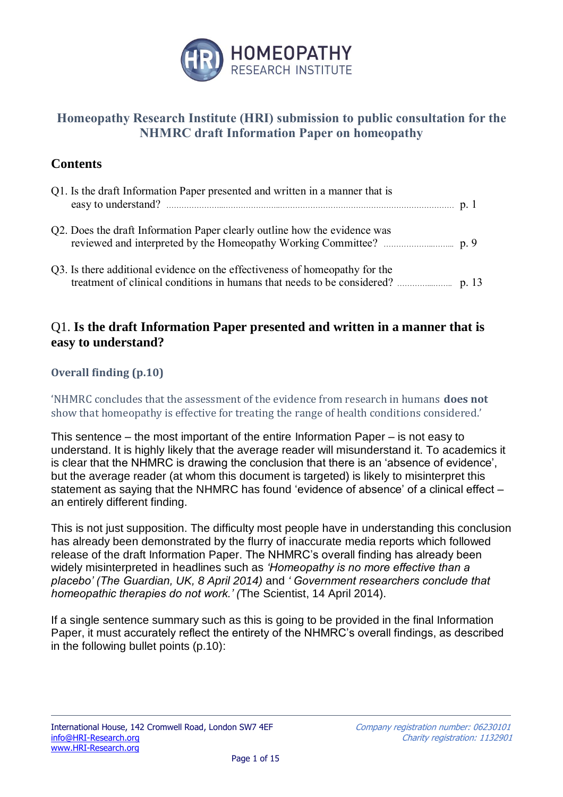

# **Homeopathy Research Institute (HRI) submission to public consultation for the NHMRC draft Information Paper on homeopathy**

# **Contents**

| Q1. Is the draft Information Paper presented and written in a manner that is |  |
|------------------------------------------------------------------------------|--|
| Q2. Does the draft Information Paper clearly outline how the evidence was    |  |
| Q3. Is there additional evidence on the effectiveness of homeopathy for the  |  |

# Q1. **Is the draft Information Paper presented and written in a manner that is easy to understand?**

## **Overall finding (p.10)**

'NHMRC concludes that the assessment of the evidence from research in humans **does not**  show that homeopathy is effective for treating the range of health conditions considered.'

This sentence – the most important of the entire Information Paper – is not easy to understand. It is highly likely that the average reader will misunderstand it. To academics it is clear that the NHMRC is drawing the conclusion that there is an 'absence of evidence', but the average reader (at whom this document is targeted) is likely to misinterpret this statement as saying that the NHMRC has found 'evidence of absence' of a clinical effect – an entirely different finding.

This is not just supposition. The difficulty most people have in understanding this conclusion has already been demonstrated by the flurry of inaccurate media reports which followed release of the draft Information Paper. The NHMRC's overall finding has already been widely misinterpreted in headlines such as *'Homeopathy is no more effective than a placebo' (The Guardian, UK, 8 April 2014)* and *' Government researchers conclude that homeopathic therapies do not work.' (*The Scientist, 14 April 2014).

If a single sentence summary such as this is going to be provided in the final Information Paper, it must accurately reflect the entirety of the NHMRC's overall findings, as described in the following bullet points (p.10):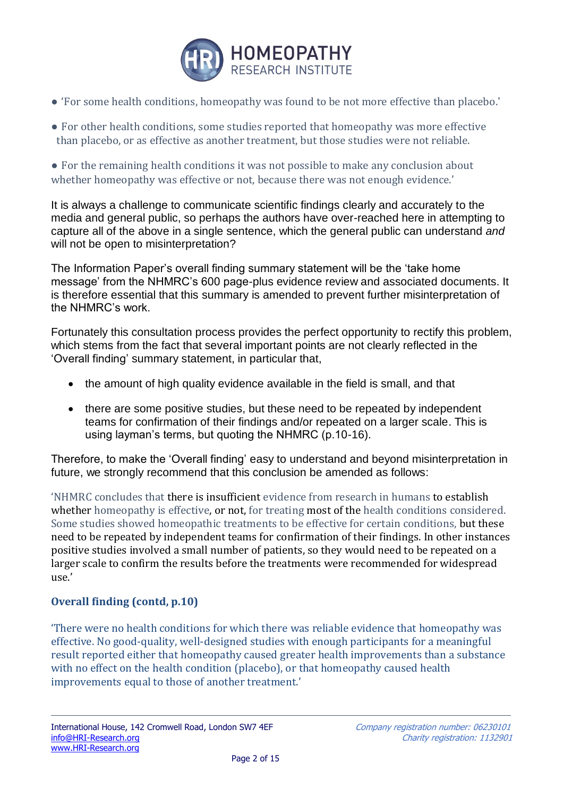

- 'For some health conditions, homeopathy was found to be not more effective than placebo.'
- For other health conditions, some studies reported that homeopathy was more effective than placebo, or as effective as another treatment, but those studies were not reliable.

• For the remaining health conditions it was not possible to make any conclusion about whether homeopathy was effective or not, because there was not enough evidence.'

It is always a challenge to communicate scientific findings clearly and accurately to the media and general public, so perhaps the authors have over-reached here in attempting to capture all of the above in a single sentence, which the general public can understand *and*  will not be open to misinterpretation?

The Information Paper's overall finding summary statement will be the 'take home message' from the NHMRC's 600 page-plus evidence review and associated documents. It is therefore essential that this summary is amended to prevent further misinterpretation of the NHMRC's work.

Fortunately this consultation process provides the perfect opportunity to rectify this problem, which stems from the fact that several important points are not clearly reflected in the 'Overall finding' summary statement, in particular that,

- the amount of high quality evidence available in the field is small, and that
- there are some positive studies, but these need to be repeated by independent teams for confirmation of their findings and/or repeated on a larger scale. This is using layman's terms, but quoting the NHMRC (p.10-16).

Therefore, to make the 'Overall finding' easy to understand and beyond misinterpretation in future, we strongly recommend that this conclusion be amended as follows:

'NHMRC concludes that there is insufficient evidence from research in humans to establish whether homeopathy is effective, or not, for treating most of the health conditions considered. Some studies showed homeopathic treatments to be effective for certain conditions, but these need to be repeated by independent teams for confirmation of their findings. In other instances positive studies involved a small number of patients, so they would need to be repeated on a larger scale to confirm the results before the treatments were recommended for widespread  $\overline{\mathsf{B}}$ 

## **Overall finding (contd, p.10)**

'There were no health conditions for which there was reliable evidence that homeopathy was effective. No good-quality, well-designed studies with enough participants for a meaningful result reported either that homeopathy caused greater health improvements than a substance with no effect on the health condition (placebo), or that homeopathy caused health improvements equal to those of another treatment.'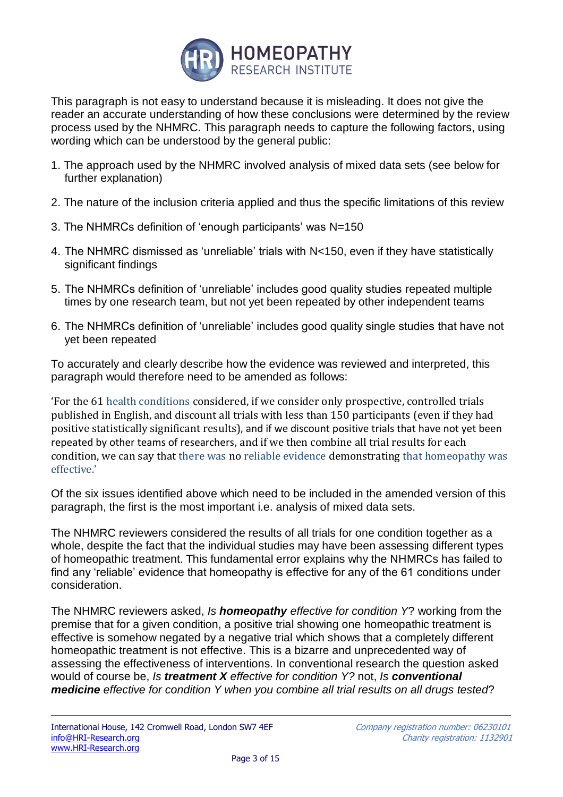

This paragraph is not easy to understand because it is misleading. It does not give the reader an accurate understanding of how these conclusions were determined by the review process used by the NHMRC. This paragraph needs to capture the following factors, using wording which can be understood by the general public:

- 1. The approach used by the NHMRC involved analysis of mixed data sets (see below for further explanation)
- 2. The nature of the inclusion criteria applied and thus the specific limitations of this review
- 3. The NHMRCs definition of 'enough participants' was N=150
- 4. The NHMRC dismissed as 'unreliable' trials with N<150, even if they have statistically significant findings
- 5. The NHMRCs definition of 'unreliable' includes good quality studies repeated multiple times by one research team, but not yet been repeated by other independent teams
- 6. The NHMRCs definition of 'unreliable' includes good quality single studies that have not yet been repeated

To accurately and clearly describe how the evidence was reviewed and interpreted, this paragraph would therefore need to be amended as follows:

'For the 61 health conditions considered, if we consider only prospective, controlled trials published in English, and discount all trials with less than 150 participants (even if they had positive statistically significant results), and if we discount positive trials that have not yet been repeated by other teams of researchers, and if we then combine all trial results for each condition, we can say that there was no reliable evidence demonstrating that homeopathy was effective.'

Of the six issues identified above which need to be included in the amended version of this paragraph, the first is the most important i.e. analysis of mixed data sets.

The NHMRC reviewers considered the results of all trials for one condition together as a whole, despite the fact that the individual studies may have been assessing different types of homeopathic treatment. This fundamental error explains why the NHMRCs has failed to find any 'reliable' evidence that homeopathy is effective for any of the 61 conditions under consideration.

The NHMRC reviewers asked, *Is homeopathy effective for condition Y*? working from the premise that for a given condition, a positive trial showing one homeopathic treatment is effective is somehow negated by a negative trial which shows that a completely different homeopathic treatment is not effective. This is a bizarre and unprecedented way of assessing the effectiveness of interventions. In conventional research the question asked would of course be, *Is treatment X effective for condition Y?* not, *Is conventional medicine effective for condition Y when you combine all trial results on all drugs tested*?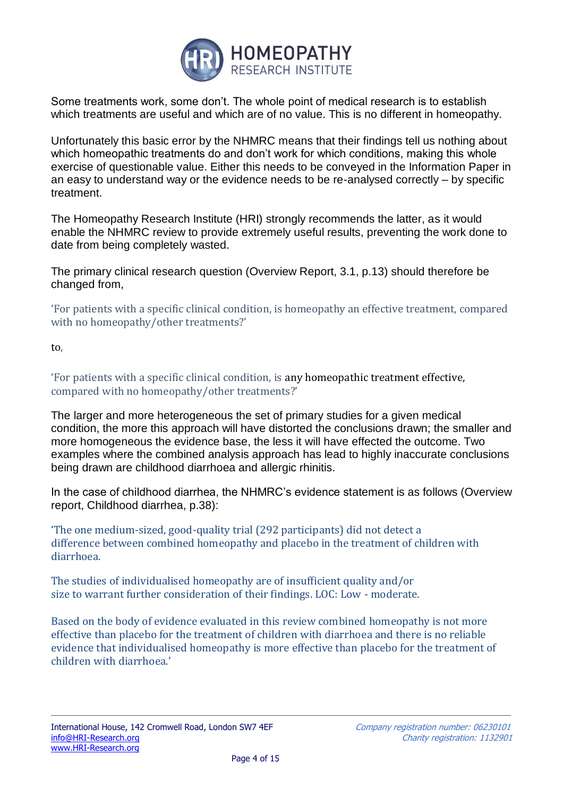

Some treatments work, some don't. The whole point of medical research is to establish which treatments are useful and which are of no value. This is no different in homeopathy.

Unfortunately this basic error by the NHMRC means that their findings tell us nothing about which homeopathic treatments do and don't work for which conditions, making this whole exercise of questionable value. Either this needs to be conveyed in the Information Paper in an easy to understand way or the evidence needs to be re-analysed correctly – by specific treatment.

The Homeopathy Research Institute (HRI) strongly recommends the latter, as it would enable the NHMRC review to provide extremely useful results, preventing the work done to date from being completely wasted.

The primary clinical research question (Overview Report, 3.1, p.13) should therefore be changed from,

'For patients with a specific clinical condition, is homeopathy an effective treatment, compared with no homeopathy/other treatments?'

to,

'For patients with a specific clinical condition, is any homeopathic treatment effective, compared with no homeopathy/other treatments?'

The larger and more heterogeneous the set of primary studies for a given medical condition, the more this approach will have distorted the conclusions drawn; the smaller and more homogeneous the evidence base, the less it will have effected the outcome. Two examples where the combined analysis approach has lead to highly inaccurate conclusions being drawn are childhood diarrhoea and allergic rhinitis.

In the case of childhood diarrhea, the NHMRC's evidence statement is as follows (Overview report, Childhood diarrhea, p.38):

'The one medium-sized, good-quality trial (292 participants) did not detect a difference between combined homeopathy and placebo in the treatment of children with diarrhoea.

The studies of individualised homeopathy are of insufficient quality and/or size to warrant further consideration of their findings. LOC: Low - moderate.

Based on the body of evidence evaluated in this review combined homeopathy is not more effective than placebo for the treatment of children with diarrhoea and there is no reliable evidence that individualised homeopathy is more effective than placebo for the treatment of children with diarrhoea.'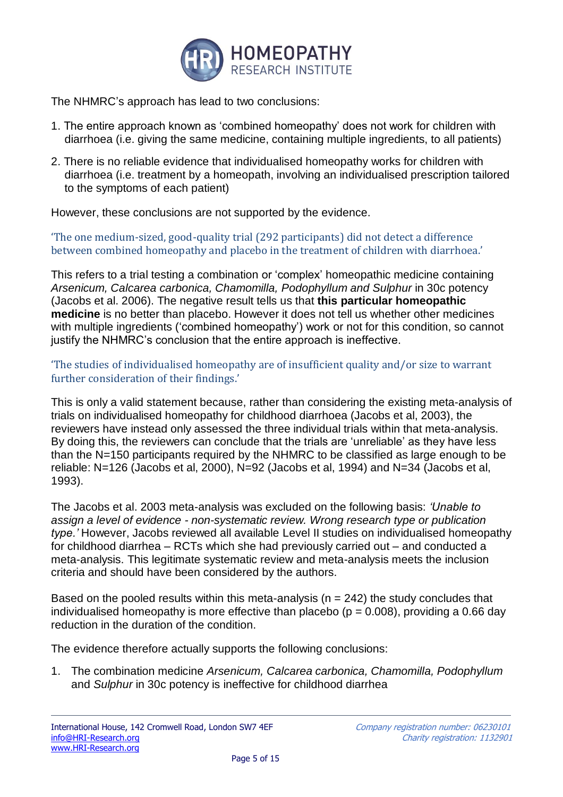

The NHMRC's approach has lead to two conclusions:

- 1. The entire approach known as 'combined homeopathy' does not work for children with diarrhoea (i.e. giving the same medicine, containing multiple ingredients, to all patients)
- 2. There is no reliable evidence that individualised homeopathy works for children with diarrhoea (i.e. treatment by a homeopath, involving an individualised prescription tailored to the symptoms of each patient)

However, these conclusions are not supported by the evidence.

'The one medium-sized, good-quality trial (292 participants) did not detect a difference between combined homeopathy and placebo in the treatment of children with diarrhoea.'

This refers to a trial testing a combination or 'complex' homeopathic medicine containing Arsenicum, Calcarea carbonica, Chamomilla, Podophyllum and Sulphur in 30c potency (Jacobs et al. 2006). The negative result tells us that **this particular homeopathic medicine** is no better than placebo. However it does not tell us whether other medicines with multiple ingredients ('combined homeopathy') work or not for this condition, so cannot justify the NHMRC's conclusion that the entire approach is ineffective.

'The studies of individualised homeopathy are of insufficient quality and/or size to warrant further consideration of their findings.'

This is only a valid statement because, rather than considering the existing meta-analysis of trials on individualised homeopathy for childhood diarrhoea (Jacobs et al, 2003), the reviewers have instead only assessed the three individual trials within that meta-analysis. By doing this, the reviewers can conclude that the trials are 'unreliable' as they have less than the N=150 participants required by the NHMRC to be classified as large enough to be reliable: N=126 (Jacobs et al, 2000), N=92 (Jacobs et al, 1994) and N=34 (Jacobs et al, 1993).

The Jacobs et al. 2003 meta-analysis was excluded on the following basis: *'Unable to assign a level of evidence - non-systematic review. Wrong research type or publication type.'* However, Jacobs reviewed all available Level II studies on individualised homeopathy for childhood diarrhea – RCTs which she had previously carried out – and conducted a meta-analysis. This legitimate systematic review and meta-analysis meets the inclusion criteria and should have been considered by the authors.

Based on the pooled results within this meta-analysis ( $n = 242$ ) the study concludes that individualised homeopathy is more effective than placebo ( $p = 0.008$ ), providing a 0.66 day reduction in the duration of the condition.

The evidence therefore actually supports the following conclusions:

1. The combination medicine *Arsenicum, Calcarea carbonica, Chamomilla, Podophyllum* and *Sulphur* in 30c potency is ineffective for childhood diarrhea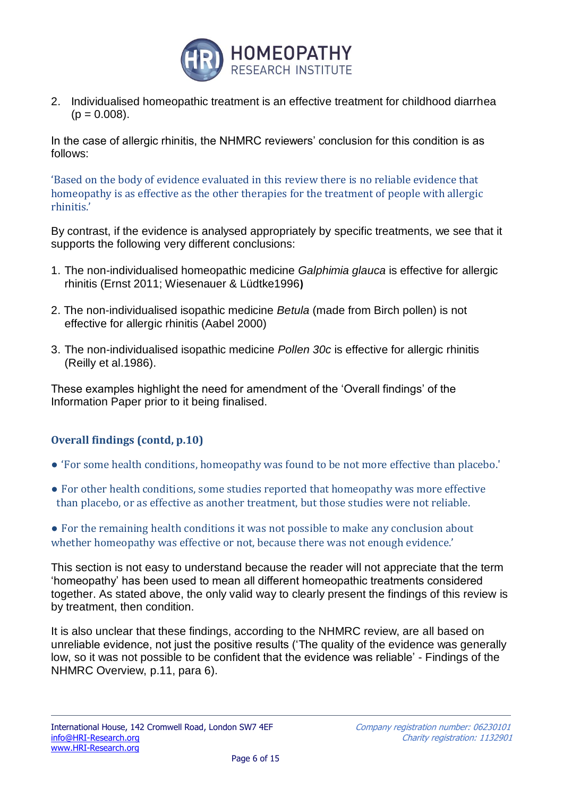

2. Individualised homeopathic treatment is an effective treatment for childhood diarrhea  $(p = 0.008)$ .

In the case of allergic rhinitis, the NHMRC reviewers' conclusion for this condition is as follows:

'Based on the body of evidence evaluated in this review there is no reliable evidence that homeopathy is as effective as the other therapies for the treatment of people with allergic rhinitis.'

By contrast, if the evidence is analysed appropriately by specific treatments, we see that it supports the following very different conclusions:

- 1. The non-individualised homeopathic medicine *Galphimia glauca* is effective for allergic rhinitis (Ernst 2011; Wiesenauer & Lüdtke1996**)**
- 2. The non-individualised isopathic medicine *Betula* (made from Birch pollen) is not effective for allergic rhinitis (Aabel 2000)
- 3. The non-individualised isopathic medicine *Pollen 30c* is effective for allergic rhinitis (Reilly et al.1986).

These examples highlight the need for amendment of the 'Overall findings' of the Information Paper prior to it being finalised.

## **Overall findings (contd, p.10)**

- 'For some health conditions, homeopathy was found to be not more effective than placebo.'
- For other health conditions, some studies reported that homeopathy was more effective than placebo, or as effective as another treatment, but those studies were not reliable.
- For the remaining health conditions it was not possible to make any conclusion about whether homeopathy was effective or not, because there was not enough evidence.'

This section is not easy to understand because the reader will not appreciate that the term 'homeopathy' has been used to mean all different homeopathic treatments considered together. As stated above, the only valid way to clearly present the findings of this review is by treatment, then condition.

It is also unclear that these findings, according to the NHMRC review, are all based on unreliable evidence, not just the positive results ('The quality of the evidence was generally low, so it was not possible to be confident that the evidence was reliable' - Findings of the NHMRC Overview, p.11, para 6).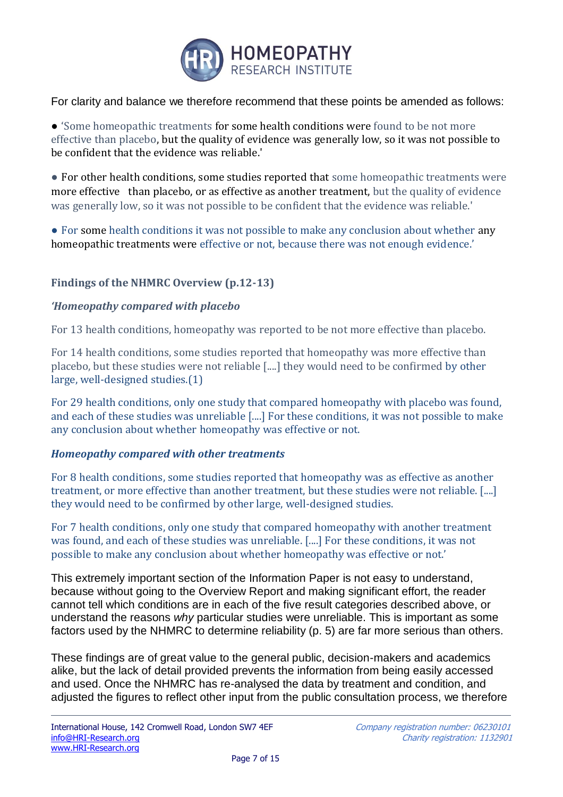

For clarity and balance we therefore recommend that these points be amended as follows:

● 'Some homeopathic treatments for some health conditions were found to be not more effective than placebo, but the quality of evidence was generally low, so it was not possible to be confident that the evidence was reliable.'

● For other health conditions, some studies reported that some homeopathic treatments were more effective than placebo, or as effective as another treatment, but the quality of evidence was generally low, so it was not possible to be confident that the evidence was reliable.'

• For some health conditions it was not possible to make any conclusion about whether any homeopathic treatments were effective or not, because there was not enough evidence.'

## **Findings of the NHMRC Overview (p.12-13)**

#### *'Homeopathy compared with placebo*

For 13 health conditions, homeopathy was reported to be not more effective than placebo.

For 14 health conditions, some studies reported that homeopathy was more effective than placebo, but these studies were not reliable [....] they would need to be confirmed by other large, well-designed studies.(1)

For 29 health conditions, only one study that compared homeopathy with placebo was found, and each of these studies was unreliable [....] For these conditions, it was not possible to make any conclusion about whether homeopathy was effective or not.

## *Homeopathy compared with other treatments*

For 8 health conditions, some studies reported that homeopathy was as effective as another treatment, or more effective than another treatment, but these studies were not reliable. [....] they would need to be confirmed by other large, well-designed studies.

For 7 health conditions, only one study that compared homeopathy with another treatment was found, and each of these studies was unreliable. [....] For these conditions, it was not possible to make any conclusion about whether homeopathy was effective or not.'

This extremely important section of the Information Paper is not easy to understand, because without going to the Overview Report and making significant effort, the reader cannot tell which conditions are in each of the five result categories described above, or understand the reasons *why* particular studies were unreliable. This is important as some factors used by the NHMRC to determine reliability (p. 5) are far more serious than others.

These findings are of great value to the general public, decision-makers and academics alike, but the lack of detail provided prevents the information from being easily accessed and used. Once the NHMRC has re-analysed the data by treatment and condition, and adjusted the figures to reflect other input from the public consultation process, we therefore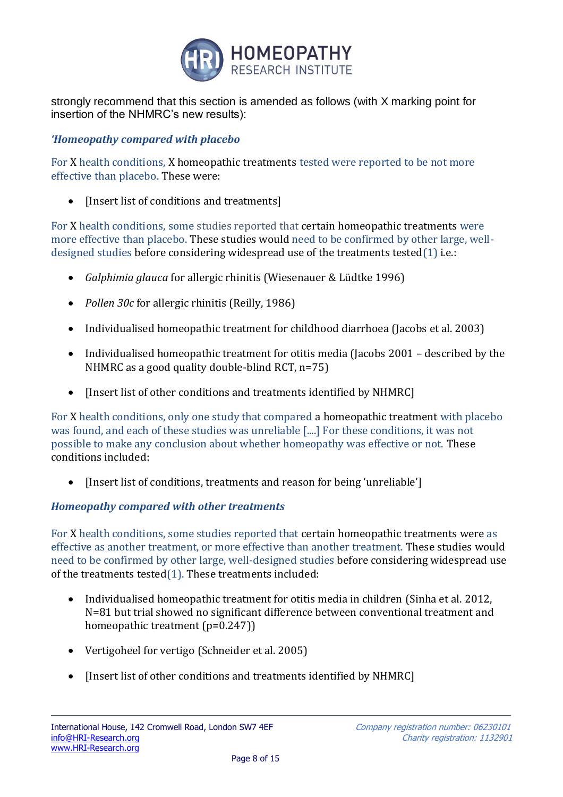

strongly recommend that this section is amended as follows (with X marking point for insertion of the NHMRC's new results):

## *'Homeopathy compared with placebo*

For X health conditions, X homeopathic treatments tested were reported to be not more effective than placebo. These were:

• [Insert list of conditions and treatments]

For X health conditions, some studies reported that certain homeopathic treatments were more effective than placebo. These studies would need to be confirmed by other large, welldesigned studies before considering widespread use of the treatments tested(1) i.e.:

- *Galphimia glauca* for allergic rhinitis (Wiesenauer & Lüdtke 1996)
- *Pollen 30c* for allergic rhinitis (Reilly, 1986)
- Individualised homeopathic treatment for childhood diarrhoea (Jacobs et al. 2003)
- Individualised homeopathic treatment for otitis media (Jacobs 2001 described by the NHMRC as a good quality double-blind RCT, n=75)
- [Insert list of other conditions and treatments identified by NHMRC]

For X health conditions, only one study that compared a homeopathic treatment with placebo was found, and each of these studies was unreliable [....] For these conditions, it was not possible to make any conclusion about whether homeopathy was effective or not. These conditions included:

• [Insert list of conditions, treatments and reason for being 'unreliable']

## *Homeopathy compared with other treatments*

For X health conditions, some studies reported that certain homeopathic treatments were as effective as another treatment, or more effective than another treatment. These studies would need to be confirmed by other large, well-designed studies before considering widespread use of the treatments tested(1). These treatments included:

- Individualised homeopathic treatment for otitis media in children (Sinha et al. 2012, N=81 but trial showed no significant difference between conventional treatment and homeopathic treatment (p=0.247))
- Vertigoheel for vertigo (Schneider et al. 2005)
- [Insert list of other conditions and treatments identified by NHMRC]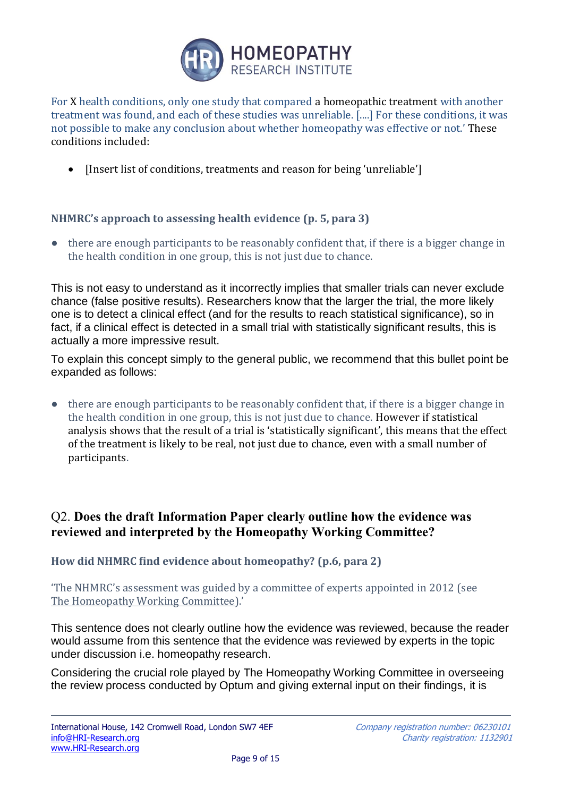

For X health conditions, only one study that compared a homeopathic treatment with another treatment was found, and each of these studies was unreliable. [....] For these conditions, it was not possible to make any conclusion about whether homeopathy was effective or not.' These conditions included:

• [Insert list of conditions, treatments and reason for being 'unreliable']

## **NHMRC's approach to assessing health evidence (p. 5, para 3)**

● there are enough participants to be reasonably confident that, if there is a bigger change in the health condition in one group, this is not just due to chance.

This is not easy to understand as it incorrectly implies that smaller trials can never exclude chance (false positive results). Researchers know that the larger the trial, the more likely one is to detect a clinical effect (and for the results to reach statistical significance), so in fact, if a clinical effect is detected in a small trial with statistically significant results, this is actually a more impressive result.

To explain this concept simply to the general public, we recommend that this bullet point be expanded as follows:

● there are enough participants to be reasonably confident that, if there is a bigger change in the health condition in one group, this is not just due to chance. However if statistical analysis shows that the result of a trial is 'statistically significant', this means that the effect of the treatment is likely to be real, not just due to chance, even with a small number of participants.

# Q2. **Does the draft Information Paper clearly outline how the evidence was reviewed and interpreted by the Homeopathy Working Committee?**

**How did NHMRC find evidence about homeopathy? (p.6, para 2)**

'The NHMRC's assessment was guided by a committee of experts appointed in 2012 (see The Homeopathy Working Committee).'

This sentence does not clearly outline how the evidence was reviewed, because the reader would assume from this sentence that the evidence was reviewed by experts in the topic under discussion i.e. homeopathy research.

Considering the crucial role played by The Homeopathy Working Committee in overseeing the review process conducted by Optum and giving external input on their findings, it is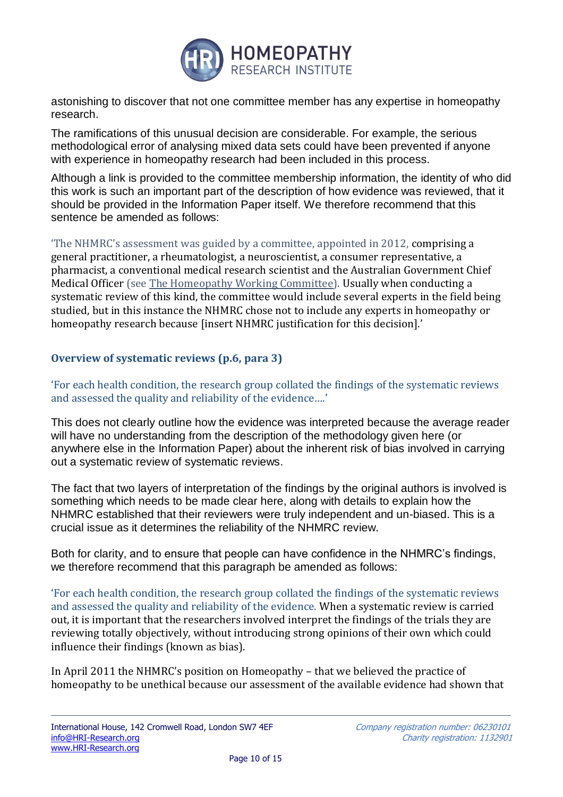

astonishing to discover that not one committee member has any expertise in homeopathy research.

The ramifications of this unusual decision are considerable. For example, the serious methodological error of analysing mixed data sets could have been prevented if anyone with experience in homeopathy research had been included in this process.

Although a link is provided to the committee membership information, the identity of who did this work is such an important part of the description of how evidence was reviewed, that it should be provided in the Information Paper itself. We therefore recommend that this sentence be amended as follows:

'The NHMRC's assessment was guided by a committee, appointed in 2012, comprising a general practitioner, a rheumatologist, a neuroscientist, a consumer representative, a pharmacist, a conventional medical research scientist and the Australian Government Chief Medical Officer (see The Homeopathy Working Committee). Usually when conducting a systematic review of this kind, the committee would include several experts in the field being studied, but in this instance the NHMRC chose not to include any experts in homeopathy or homeopathy research because [insert NHMRC justification for this decision].'

## **Overview of systematic reviews (p.6, para 3)**

'For each health condition, the research group collated the findings of the systematic reviews and assessed the quality and reliability of the evidence….'

This does not clearly outline how the evidence was interpreted because the average reader will have no understanding from the description of the methodology given here (or anywhere else in the Information Paper) about the inherent risk of bias involved in carrying out a systematic review of systematic reviews.

The fact that two layers of interpretation of the findings by the original authors is involved is something which needs to be made clear here, along with details to explain how the NHMRC established that their reviewers were truly independent and un-biased. This is a crucial issue as it determines the reliability of the NHMRC review.

Both for clarity, and to ensure that people can have confidence in the NHMRC's findings, we therefore recommend that this paragraph be amended as follows:

'For each health condition, the research group collated the findings of the systematic reviews and assessed the quality and reliability of the evidence. When a systematic review is carried out, it is important that the researchers involved interpret the findings of the trials they are reviewing totally objectively, without introducing strong opinions of their own which could influence their findings (known as bias).

In April 2011 the NHMRC's position on Homeopathy – that we believed the practice of homeopathy to be unethical because our assessment of the available evidence had shown that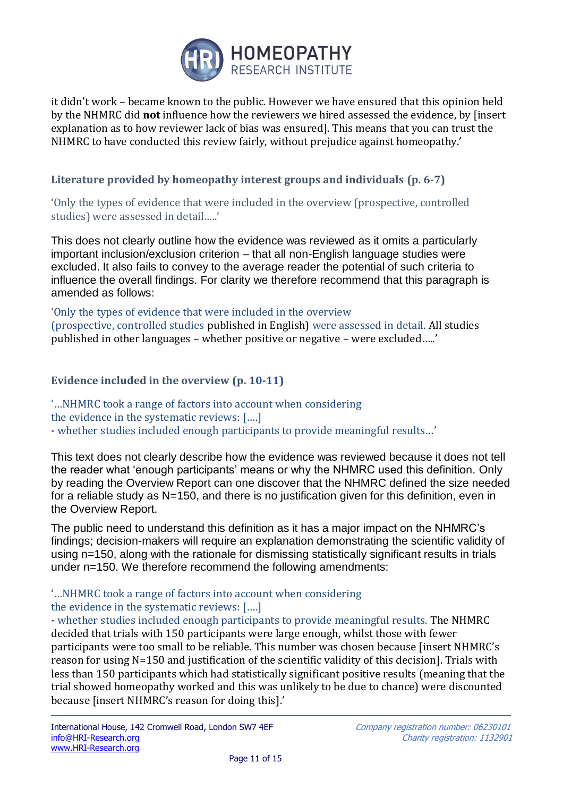

it didn't work – became known to the public. However we have ensured that this opinion held by the NHMRC did **not** influence how the reviewers we hired assessed the evidence, by [insert explanation as to how reviewer lack of bias was ensured]. This means that you can trust the NHMRC to have conducted this review fairly, without prejudice against homeopathy.'

## **Literature provided by homeopathy interest groups and individuals (p. 6-7)**

'Only the types of evidence that were included in the overview (prospective, controlled studies) were assessed in detail…..'

This does not clearly outline how the evidence was reviewed as it omits a particularly important inclusion/exclusion criterion – that all non-English language studies were excluded. It also fails to convey to the average reader the potential of such criteria to influence the overall findings. For clarity we therefore recommend that this paragraph is amended as follows:

'Only the types of evidence that were included in the overview (prospective, controlled studies published in English) were assessed in detail. All studies published in other languages – whether positive or negative – were excluded…..'

## **Evidence included in the overview (p. 10-11)**

'…NHMRC took a range of factors into account when considering the evidence in the systematic reviews: [….] **-** whether studies included enough participants to provide meaningful results…'

This text does not clearly describe how the evidence was reviewed because it does not tell the reader what 'enough participants' means or why the NHMRC used this definition. Only by reading the Overview Report can one discover that the NHMRC defined the size needed for a reliable study as N=150, and there is no justification given for this definition, even in the Overview Report.

The public need to understand this definition as it has a major impact on the NHMRC's findings; decision-makers will require an explanation demonstrating the scientific validity of using n=150, along with the rationale for dismissing statistically significant results in trials under n=150. We therefore recommend the following amendments:

## '…NHMRC took a range of factors into account when considering the evidence in the systematic reviews: [….]

**-** whether studies included enough participants to provide meaningful results. The NHMRC decided that trials with 150 participants were large enough, whilst those with fewer participants were too small to be reliable. This number was chosen because [insert NHMRC's reason for using N=150 and justification of the scientific validity of this decision]. Trials with less than 150 participants which had statistically significant positive results (meaning that the trial showed homeopathy worked and this was unlikely to be due to chance) were discounted because [insert NHMRC's reason for doing this].'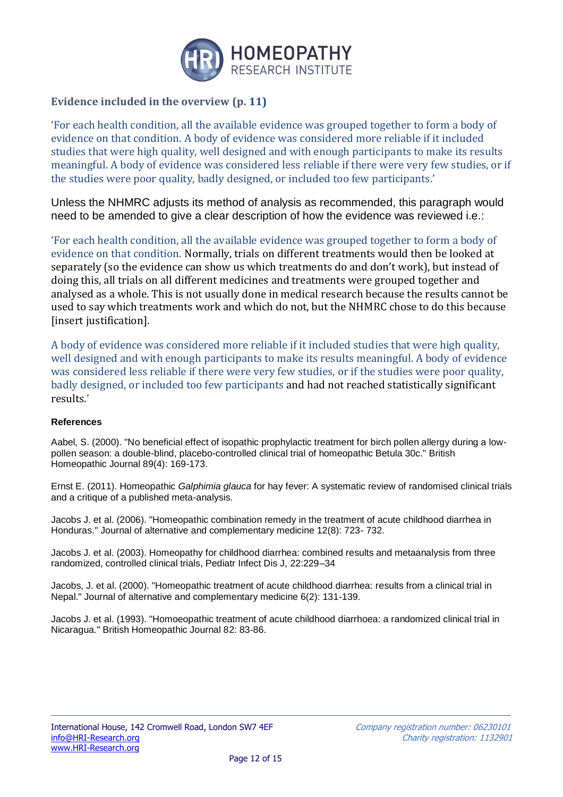

#### **Evidence included in the overview (p. 11)**

'For each health condition, all the available evidence was grouped together to form a body of evidence on that condition. A body of evidence was considered more reliable if it included studies that were high quality, well designed and with enough participants to make its results meaningful. A body of evidence was considered less reliable if there were very few studies, or if the studies were poor quality, badly designed, or included too few participants.'

Unless the NHMRC adjusts its method of analysis as recommended, this paragraph would need to be amended to give a clear description of how the evidence was reviewed i.e.:

'For each health condition, all the available evidence was grouped together to form a body of evidence on that condition. Normally, trials on different treatments would then be looked at separately (so the evidence can show us which treatments do and don't work), but instead of doing this, all trials on all different medicines and treatments were grouped together and analysed as a whole. This is not usually done in medical research because the results cannot be used to say which treatments work and which do not, but the NHMRC chose to do this because [insert justification].

A body of evidence was considered more reliable if it included studies that were high quality, well designed and with enough participants to make its results meaningful. A body of evidence was considered less reliable if there were very few studies, or if the studies were poor quality, badly designed, or included too few participants and had not reached statistically significant results.'

#### **References**

Aabel, S. (2000). "No beneficial effect of isopathic prophylactic treatment for birch pollen allergy during a lowpollen season: a double-blind, placebo-controlled clinical trial of homeopathic Betula 30c." British Homeopathic Journal 89(4): 169-173.

Ernst E. (2011). Homeopathic *Galphimia glauca* for hay fever: A systematic review of randomised clinical trials and a critique of a published meta-analysis.

Jacobs J. et al. (2006). "Homeopathic combination remedy in the treatment of acute childhood diarrhea in Honduras." Journal of alternative and complementary medicine 12(8): 723- 732.

Jacobs J. et al. (2003). Homeopathy for childhood diarrhea: combined results and metaanalysis from three randomized, controlled clinical trials, Pediatr Infect Dis J, 22:229–34

Jacobs, J. et al. (2000). "Homeopathic treatment of acute childhood diarrhea: results from a clinical trial in Nepal." Journal of alternative and complementary medicine 6(2): 131-139.

Jacobs J. et al. (1993). "Homoeopathic treatment of acute childhood diarrhoea: a randomized clinical trial in Nicaragua." British Homeopathic Journal 82: 83-86.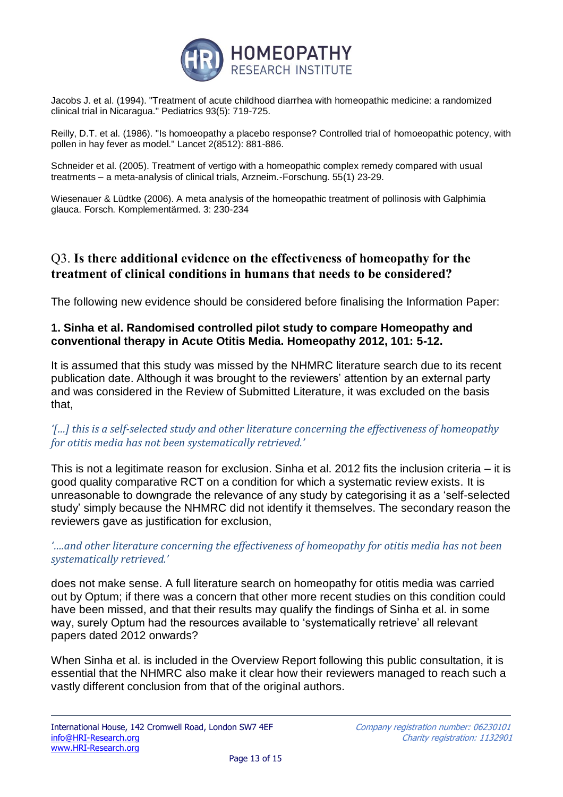

Jacobs J. et al. (1994). "Treatment of acute childhood diarrhea with homeopathic medicine: a randomized clinical trial in Nicaragua." Pediatrics 93(5): 719-725.

Reilly, D.T. et al. (1986). "Is homoeopathy a placebo response? Controlled trial of homoeopathic potency, with pollen in hay fever as model." Lancet 2(8512): 881-886.

Schneider et al. (2005). Treatment of vertigo with a homeopathic complex remedy compared with usual treatments – a meta-analysis of clinical trials, Arzneim.-Forschung. 55(1) 23-29.

Wiesenauer & Lüdtke (2006). A meta analysis of the homeopathic treatment of pollinosis with Galphimia glauca. Forsch. Komplementärmed. 3: 230-234

# Q3. **Is there additional evidence on the effectiveness of homeopathy for the treatment of clinical conditions in humans that needs to be considered?**

The following new evidence should be considered before finalising the Information Paper:

## **1. Sinha et al. Randomised controlled pilot study to compare Homeopathy and conventional therapy in Acute Otitis Media. Homeopathy 2012, 101: 5-12.**

It is assumed that this study was missed by the NHMRC literature search due to its recent publication date. Although it was brought to the reviewers' attention by an external party and was considered in the Review of Submitted Literature, it was excluded on the basis that,

## *'[…] this is a self-selected study and other literature concerning the effectiveness of homeopathy for otitis media has not been systematically retrieved.'*

This is not a legitimate reason for exclusion. Sinha et al. 2012 fits the inclusion criteria – it is good quality comparative RCT on a condition for which a systematic review exists. It is unreasonable to downgrade the relevance of any study by categorising it as a 'self-selected study' simply because the NHMRC did not identify it themselves. The secondary reason the reviewers gave as justification for exclusion,

## *'….and other literature concerning the effectiveness of homeopathy for otitis media has not been systematically retrieved.'*

does not make sense. A full literature search on homeopathy for otitis media was carried out by Optum; if there was a concern that other more recent studies on this condition could have been missed, and that their results may qualify the findings of Sinha et al. in some way, surely Optum had the resources available to 'systematically retrieve' all relevant papers dated 2012 onwards?

When Sinha et al. is included in the Overview Report following this public consultation, it is essential that the NHMRC also make it clear how their reviewers managed to reach such a vastly different conclusion from that of the original authors.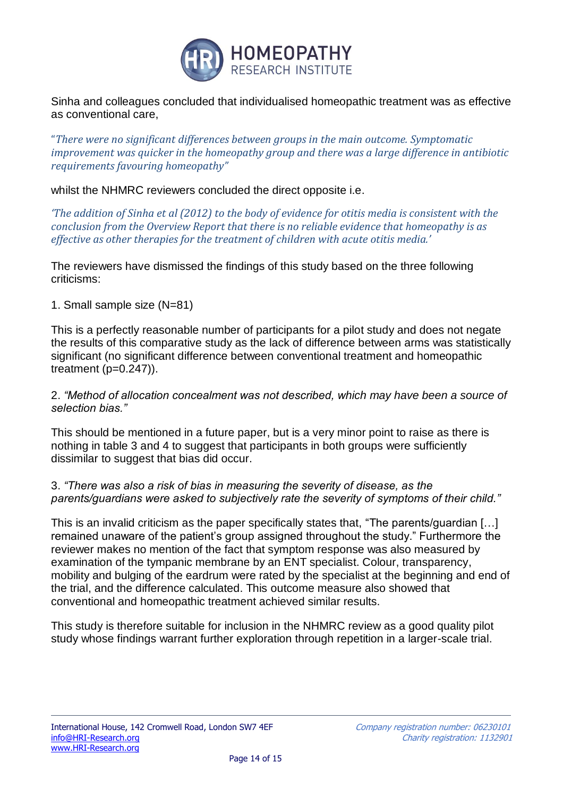

Sinha and colleagues concluded that individualised homeopathic treatment was as effective as conventional care,

"*There were no significant differences between groups in the main outcome. Symptomatic improvement was quicker in the homeopathy group and there was a large difference in antibiotic requirements favouring homeopathy"*

whilst the NHMRC reviewers concluded the direct opposite i.e.

*'The addition of Sinha et al (2012) to the body of evidence for otitis media is consistent with the conclusion from the Overview Report that there is no reliable evidence that homeopathy is as effective as other therapies for the treatment of children with acute otitis media.'* 

The reviewers have dismissed the findings of this study based on the three following criticisms:

## 1. Small sample size (N=81)

This is a perfectly reasonable number of participants for a pilot study and does not negate the results of this comparative study as the lack of difference between arms was statistically significant (no significant difference between conventional treatment and homeopathic treatment  $(p=0.247)$ ).

#### 2. *"Method of allocation concealment was not described, which may have been a source of selection bias."*

This should be mentioned in a future paper, but is a very minor point to raise as there is nothing in table 3 and 4 to suggest that participants in both groups were sufficiently dissimilar to suggest that bias did occur.

## 3. *"There was also a risk of bias in measuring the severity of disease, as the parents/guardians were asked to subjectively rate the severity of symptoms of their child."*

This is an invalid criticism as the paper specifically states that, "The parents/guardian […] remained unaware of the patient's group assigned throughout the study." Furthermore the reviewer makes no mention of the fact that symptom response was also measured by examination of the tympanic membrane by an ENT specialist. Colour, transparency, mobility and bulging of the eardrum were rated by the specialist at the beginning and end of the trial, and the difference calculated. This outcome measure also showed that conventional and homeopathic treatment achieved similar results.

This study is therefore suitable for inclusion in the NHMRC review as a good quality pilot study whose findings warrant further exploration through repetition in a larger-scale trial.